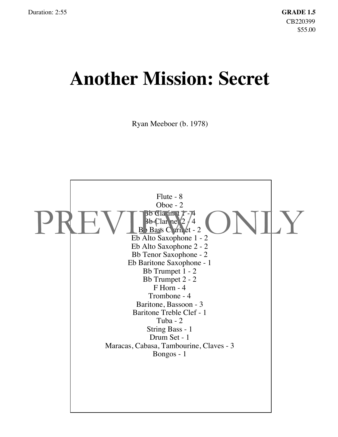Ryan Meeboer (b. 1978)

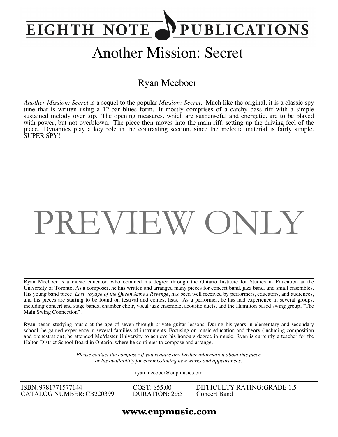#### PUBLICATIONS **EIGHTH NOTE**

### Another Mission: Secret

#### Ryan Meeboer

*Another Mission: Secret* is a sequel to the popular *Mission: Secret*. Much like the original, it is a classic spy tune that is written using a 12-bar blues form. It mostly comprises of a catchy bass riff with a simple sustained melody over top. The opening measures, which are suspenseful and energetic, are to be played with power, but not overblown. The piece then moves into the main riff, setting up the driving feel of the piece. Dynamics play a key role in the contrasting section, since the melodic material is fairly simple. SUPER SPY!

# PREVIEW ONLY

Ryan Meeboer is a music educator, who obtained his degree through the Ontario Institute for Studies in Education at the University of Toronto. As a composer, he has written and arranged many pieces for concert band, jazz band, and small ensembles. His young band piece, *Last Voyage of the Queen Anne's Revenge*, has been well received by performers, educators, and audiences, and his pieces are starting to be found on festival and contest lists. As a performer, he has had experience in several groups, including concert and stage bands, chamber choir, vocal jazz ensemble, acoustic duets, and the Hamilton based swing group, "The Main Swing Connection".

Ryan began studying music at the age of seven through private guitar lessons. During his years in elementary and secondary school, he gained experience in several families of instruments. Focusing on music education and theory (including composition and orchestration), he attended McMaster University to achieve his honours degree in music. Ryan is currently a teacher for the Halton District School Board in Ontario, where he continues to compose and arrange.

> *Please contact the composer if you require any further information about this piece or his availability for commissioning new works and appearances.*

> > ryan.meeboer@enpmusic.com

ISBN: 9781771577144 CATALOG NUMBER:CB220399

COST: \$55.00 DURATION: 2:55 DIFFICULTY RATING:GRADE 1.5 Concert Band

#### **www.enpmusic.com**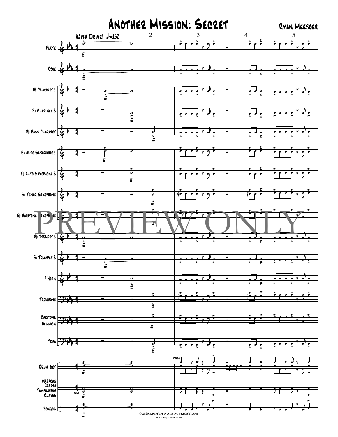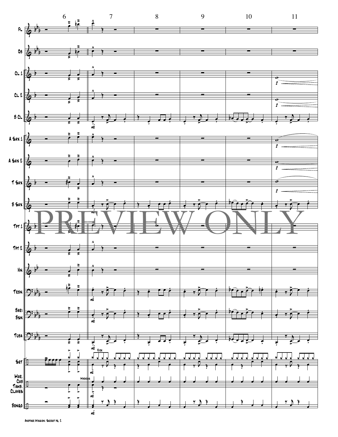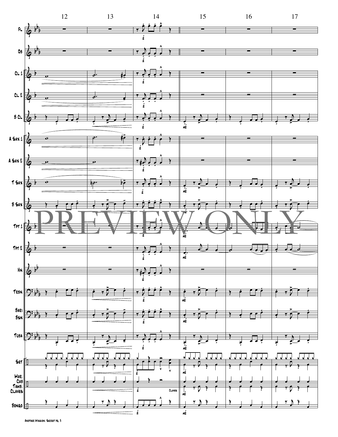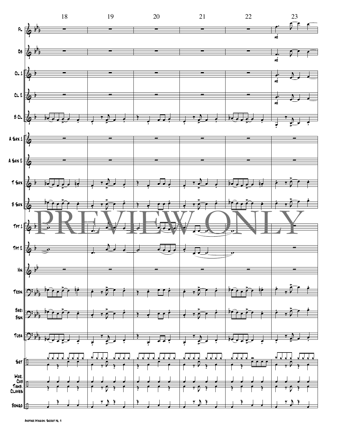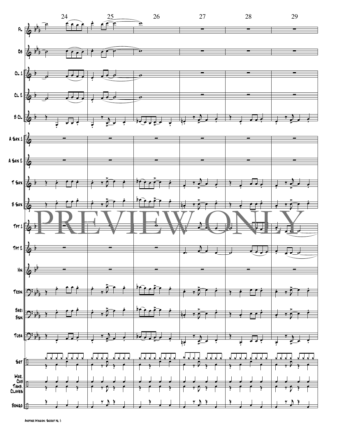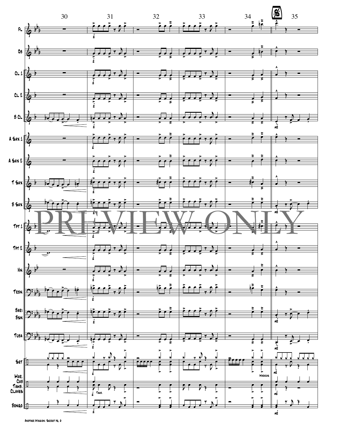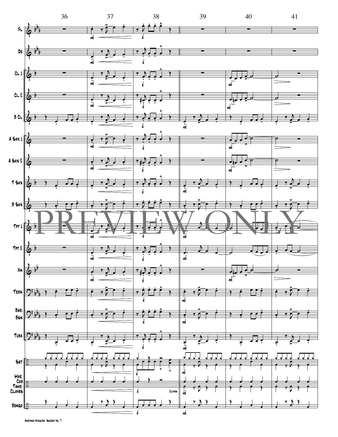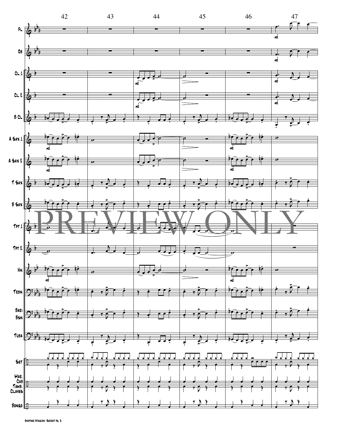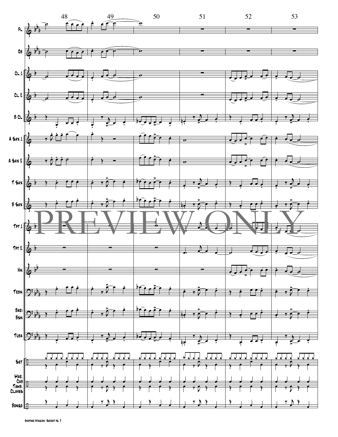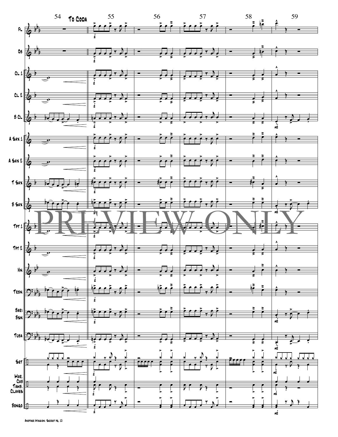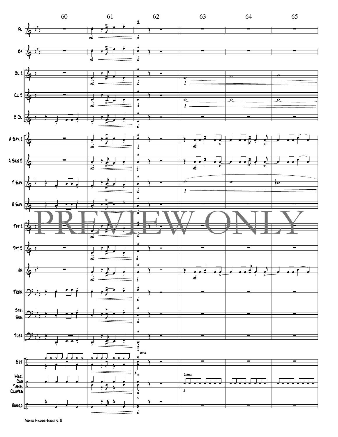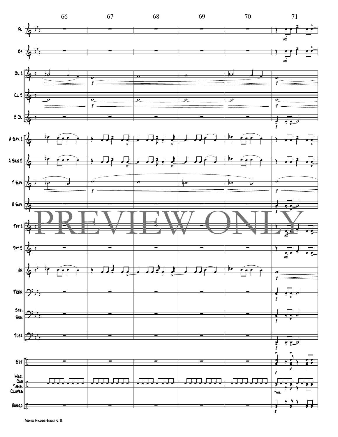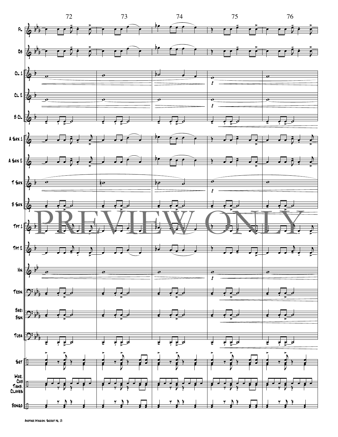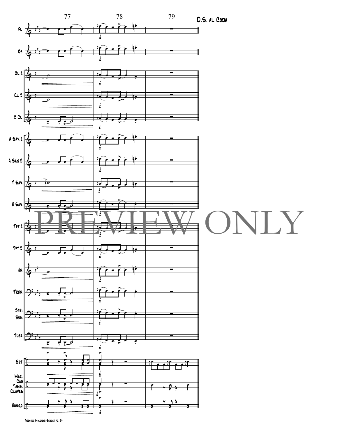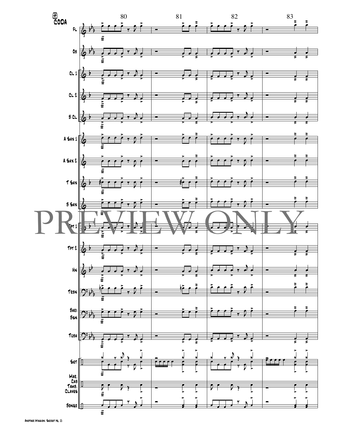